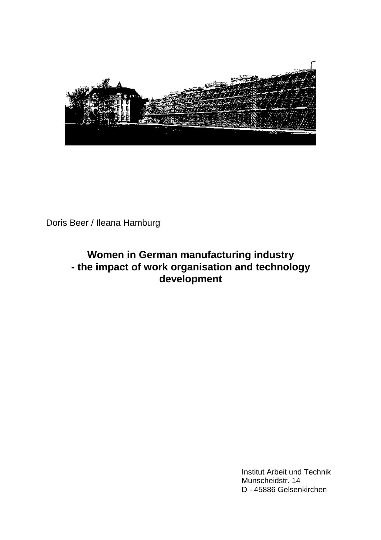

Doris Beer / Ileana Hamburg

# **Women in German manufacturing industry - the impact of work organisation and technology development**

Institut Arbeit und Technik Munscheidstr. 14 D - 45886 Gelsenkirchen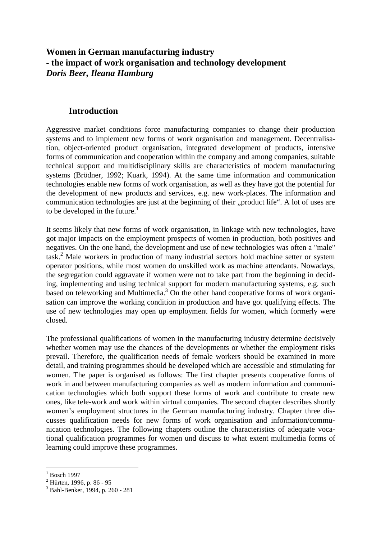## **Women in German manufacturing industry - the impact of work organisation and technology development** *Doris Beer, Ileana Hamburg*

### **Introduction**

Aggressive market conditions force manufacturing companies to change their production systems and to implement new forms of work organisation and management. Decentralisation, object-oriented product organisation, integrated development of products, intensive forms of communication and cooperation within the company and among companies, suitable technical support and multidisciplinary skills are characteristics of modern manufacturing systems (Brödner, 1992; Kuark, 1994). At the same time information and communication technologies enable new forms of work organisation, as well as they have got the potential for the development of new products and services, e.g. new work-places. The information and communication technologies are just at the beginning of their "product life". A lot of uses are to be developed in the future.<sup>1</sup>

It seems likely that new forms of work organisation, in linkage with new technologies, have got major impacts on the employment prospects of women in production, both positives and negatives. On the one hand, the development and use of new technologies was often a "male" task.<sup>2</sup> Male workers in production of many industrial sectors hold machine setter or system operator positions, while most women do unskilled work as machine attendants. Nowadays, the segregation could aggravate if women were not to take part from the beginning in deciding, implementing and using technical support for modern manufacturing systems, e.g. such based on teleworking and Multimedia.<sup>3</sup> On the other hand cooperative forms of work organisation can improve the working condition in production and have got qualifying effects. The use of new technologies may open up employment fields for women, which formerly were closed.

The professional qualifications of women in the manufacturing industry determine decisively whether women may use the chances of the developments or whether the employment risks prevail. Therefore, the qualification needs of female workers should be examined in more detail, and training programmes should be developed which are accessible and stimulating for women. The paper is organised as follows: The first chapter presents cooperative forms of work in and between manufacturing companies as well as modern information and communication technologies which both support these forms of work and contribute to create new ones, like tele-work and work within virtual companies. The second chapter describes shortly women's employment structures in the German manufacturing industry. Chapter three discusses qualification needs for new forms of work organisation and information/communication technologies. The following chapters outline the characteristics of adequate vocational qualification programmes for women und discuss to what extent multimedia forms of learning could improve these programmes.

<sup>1</sup> Bosch 1997

 $2$  Hürten, 1996, p. 86 - 95

<sup>3</sup> Bahl-Benker, 1994, p. 260 - 281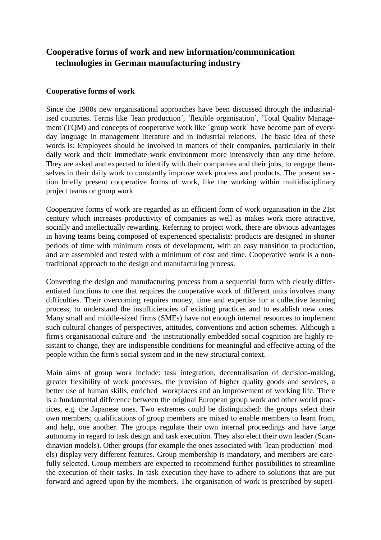## **Cooperative forms of work and new information/communication technologies in German manufacturing industry**

#### **Cooperative forms of work**

Since the 1980s new organisational approaches have been discussed through the industrialised countries. Terms like <sup>1</sup>lean production´, ´flexible organisation´, ´Total Quality Management´(TQM) and concepts of cooperative work like ´group work´ have become part of everyday language in management literature and in industrial relations. The basic idea of these words is: Employees should be involved in matters of their companies, particularly in their daily work and their immediate work environment more intensively than any time before. They are asked and expected to identify with their companies and their jobs, to engage themselves in their daily work to constantly improve work process and products. The present section briefly present cooperative forms of work, like the working within multidisciplinary project teams or group work

Cooperative forms of work are regarded as an efficient form of work organisation in the 21st century which increases productivity of companies as well as makes work more attractive, socially and intellectually rewarding. Referring to project work, there are obvious advantages in having teams being composed of experienced specialists: products are designed in shorter periods of time with minimum costs of development, with an easy transition to production, and are assembled and tested with a minimum of cost and time. Cooperative work is a nontraditional approach to the design and manufacturing process.

Converting the design and manufacturing process from a sequential form with clearly differentiated functions to one that requires the cooperative work of different units involves many difficulties. Their overcoming requires money, time and expertise for a collective learning process, to understand the insufficiencies of existing practices and to establish new ones. Many small and middle-sized firms (SMEs) have not enough internal resources to implement such cultural changes of perspectives, attitudes, conventions and action schemes. Although a firm's organisational culture and the institutionally embedded social cognition are highly resistant to change, they are indispensible conditions for meaningful and effective acting of the people within the firm's social system and in the new structural context.

Main aims of group work include: task integration, decentralisation of decision-making, greater flexibility of work processes, the provision of higher quality goods and services, a better use of human skills, enriched workplaces and an improvement of working life. There is a fundamental difference between the original European group work and other world practices, e.g. the Japanese ones. Two extremes could be distinguished: the groups select their own members; qualifications of group members are mixed to enable members to learn from, and help, one another. The groups regulate their own internal proceedings and have large autonomy in regard to task design and task execution. They also elect their own leader (Scandinavian models). Other groups (for example the ones associated with ´lean production´ models) display very different features. Group membership is mandatory, and members are carefully selected. Group members are expected to recommend further possibilities to streamline the execution of their tasks. In task execution they have to adhere to solutions that are put forward and agreed upon by the members. The organisation of work is prescribed by superi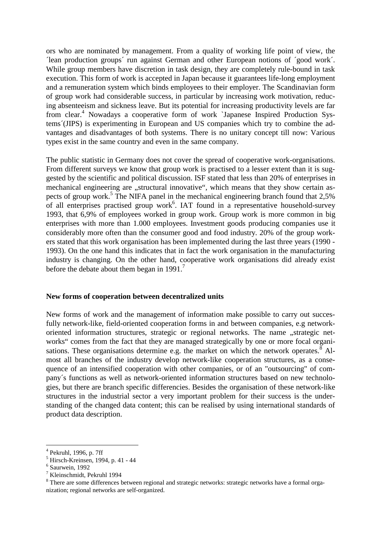ors who are nominated by management. From a quality of working life point of view, the ´lean production groups´ run against German and other European notions of ´good work´. While group members have discretion in task design, they are completely rule-bound in task execution. This form of work is accepted in Japan because it guarantees life-long employment and a remuneration system which binds employees to their employer. The Scandinavian form of group work had considerable success, in particular by increasing work motivation, reducing absenteeism and sickness leave. But its potential for increasing productivity levels are far from clear.<sup>4</sup> Nowadays a cooperative form of work `Japanese Inspired Production Systems´(JIPS) is experimenting in European and US companies which try to combine the advantages and disadvantages of both systems. There is no unitary concept till now: Various types exist in the same country and even in the same company.

The public statistic in Germany does not cover the spread of cooperative work-organisations. From different surveys we know that group work is practised to a lesser extent than it is suggested by the scientific and political discussion. ISF stated that less than 20% of enterprises in mechanical engineering are "structural innovative", which means that they show certain aspects of group work.<sup>5</sup> The NIFA panel in the mechanical engineering branch found that 2,5% of all enterprises practised group work<sup>6</sup>. IAT found in a representative household-survey 1993, that 6,9% of employees worked in group work. Group work is more common in big enterprises with more than 1.000 employees. Investment goods producing companies use it considerably more often than the consumer good and food industry. 20% of the group workers stated that this work organisation has been implemented during the last three years (1990 - 1993). On the one hand this indicates that in fact the work organisation in the manufacturing industry is changing. On the other hand, cooperative work organisations did already exist before the debate about them began in  $1991.7$ 

#### **New forms of cooperation between decentralized units**

New forms of work and the management of information make possible to carry out succesfully network-like, field-oriented cooperation forms in and between companies, e.g networkoriented information structures, strategic or regional networks. The name "strategic networks" comes from the fact that they are managed strategically by one or more focal organisations. These organisations determine e.g. the market on which the network operates.<sup>8</sup> Almost all branches of the industry develop network-like cooperation structures, as a consequence of an intensified cooperation with other companies, or of an "outsourcing" of company´s functions as well as network-oriented information structures based on new technologies, but there are branch specific differencies. Besides the organisation of these network-like structures in the industrial sector a very important problem for their success is the understanding of the changed data content; this can be realised by using international standards of product data description.

7 Kleinschmidt, Pekruhl 1994

<sup>4</sup> Pekruhl, 1996, p. 7ff

<sup>5</sup> Hirsch-Kreinsen, 1994, p. 41 - 44

<sup>6</sup> Saurwein, 1992

<sup>&</sup>lt;sup>8</sup> There are some differences between regional and strategic networks: strategic networks have a formal organization; regional networks are self-organized.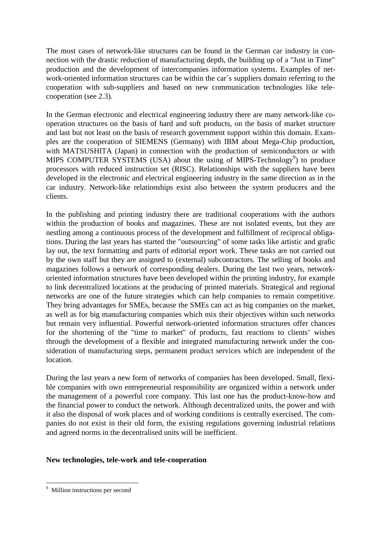The most cases of network-like structures can be found in the German car industry in connection with the drastic reduction of manufacturing depth, the building up of a "Just in Time" production and the development of intercompanies information systems. Examples of network-oriented information structures can be within the car´s suppliers domain referring to the cooperation with sub-suppliers and based on new communication technologies like telecooperation (see 2.3).

In the German electronic and electrical engineering industry there are many network-like cooperation structures on the basis of hard and soft products, on the basis of market structure and last but not least on the basis of research government support within this domain. Examples are the cooperation of SIEMENS (Germany) with IBM about Mega-Chip production, with MATSUSHITA (Japan) in connection with the production of semiconductors or with MIPS COMPUTER SYSTEMS (USA) about the using of MIPS-Technology<sup>9</sup>) to produce processors with reduced instruction set (RISC). Relationships with the suppliers have been developed in the electronic and electrical engineering industry in the same direction as in the car industry. Network-like relationships exist also between the system producers and the clients.

In the publishing and printing industry there are traditional cooperations with the authors within the production of books and magazines. These are not isolated events, but they are nestling among a continuous process of the development and fulfillment of reciprocal obligations. During the last years has started the "outsourcing" of some tasks like artistic and grafic lay out, the text formatting and parts of editorial report work. These tasks are not carried out by the own staff but they are assigned to (external) subcontractors. The selling of books and magazines follows a network of corresponding dealers. During the last two years, networkoriented information structures have been developed within the printing industry, for example to link decentralized locations at the producing of printed materials. Strategical and regional networks are one of the future strategies which can help companies to remain competitive. They bring advantages for SMEs, because the SMEs can act as big companies on the market, as well as for big manufacturing companies which mix their objectives within such networks but remain very influential. Powerful network-oriented information structures offer chances for the shortening of the "time to market" of products, fast reactions to clients' wishes through the development of a flexible and integrated manufacturing network under the consideration of manufacturing steps, permanent product services which are independent of the location.

During the last years a new form of networks of companies has been developed. Small, flexible companies with own entrepreneurial responsibility are organized within a network under the management of a powerful core company. This last one has the product-know-how and the financial power to conduct the network. Although decentralized units, the power and with it also the disposal of work places and of working conditions is centrally exercised. The companies do not exist in their old form, the existing regulations governing industrial relations and agreed norms in the decentralised units will be inefficient.

#### **New technologies, tele-work and tele-cooperation**

9 Million instructions per second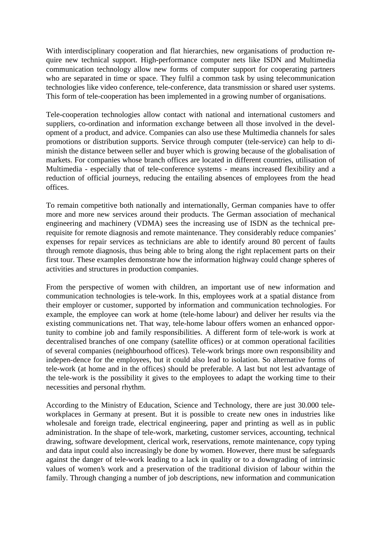With interdisciplinary cooperation and flat hierarchies, new organisations of production require new technical support. High-performance computer nets like ISDN and Multimedia communication technology allow new forms of computer support for cooperating partners who are separated in time or space. They fulfil a common task by using telecommunication technologies like video conference, tele-conference, data transmission or shared user systems. This form of tele-cooperation has been implemented in a growing number of organisations.

Tele-cooperation technologies allow contact with national and international customers and suppliers, co-ordination and information exchange between all those involved in the development of a product, and advice. Companies can also use these Multimedia channels for sales promotions or distribution supports. Service through computer (tele-service) can help to diminish the distance between seller and buyer which is growing because of the globalisation of markets. For companies whose branch offices are located in different countries, utilisation of Multimedia - especially that of tele-conference systems - means increased flexibility and a reduction of official journeys, reducing the entailing absences of employees from the head offices.

To remain competitive both nationally and internationally, German companies have to offer more and more new services around their products. The German association of mechanical engineering and machinery (VDMA) sees the increasing use of ISDN as the technical prerequisite for remote diagnosis and remote maintenance. They considerably reduce companies' expenses for repair services as technicians are able to identify around 80 percent of faults through remote diagnosis, thus being able to bring along the right replacement parts on their first tour. These examples demonstrate how the information highway could change spheres of activities and structures in production companies.

From the perspective of women with children, an important use of new information and communication technologies is tele-work. In this, employees work at a spatial distance from their employer or customer, supported by information and communication technologies. For example, the employee can work at home (tele-home labour) and deliver her results via the existing communications net. That way, tele-home labour offers women an enhanced opportunity to combine job and family responsibilities. A different form of tele-work is work at decentralised branches of one company (satellite offices) or at common operational facilities of several companies (neighbourhood offices). Tele-work brings more own responsibility and indepen-dence for the employees, but it could also lead to isolation. So alternative forms of tele-work (at home and in the offices) should be preferable. A last but not lest advantage of the tele-work is the possibility it gives to the employees to adapt the working time to their necessities and personal rhythm.

According to the Ministry of Education, Science and Technology, there are just 30.000 teleworkplaces in Germany at present. But it is possible to create new ones in industries like wholesale and foreign trade, electrical engineering, paper and printing as well as in public administration. In the shape of tele-work, marketing, customer services, accounting, technical drawing, software development, clerical work, reservations, remote maintenance, copy typing and data input could also increasingly be done by women. However, there must be safeguards against the danger of tele-work leading to a lack in quality or to a downgrading of intrinsic values of women's work and a preservation of the traditional division of labour within the family. Through changing a number of job descriptions, new information and communication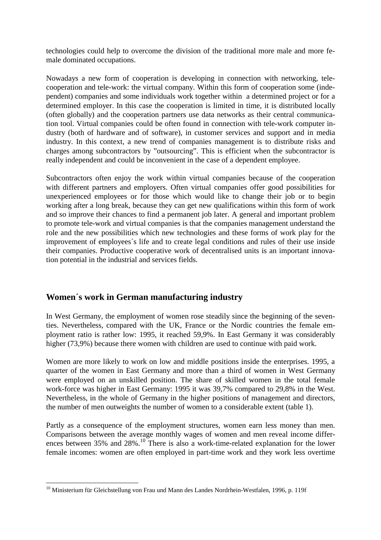technologies could help to overcome the division of the traditional more male and more female dominated occupations.

Nowadays a new form of cooperation is developing in connection with networking, telecooperation and tele-work: the virtual company. Within this form of cooperation some (independent) companies and some individuals work together within a determined project or for a determined employer. In this case the cooperation is limited in time, it is distributed locally (often globally) and the cooperation partners use data networks as their central communication tool. Virtual companies could be often found in connection with tele-work computer industry (both of hardware and of software), in customer services and support and in media industry. In this context, a new trend of companies management is to distribute risks and charges among subcontractors by "outsourcing". This is efficient when the subcontractor is really independent and could be inconvenient in the case of a dependent employee.

Subcontractors often enjoy the work within virtual companies because of the cooperation with different partners and employers. Often virtual companies offer good possibilities for unexperienced employees or for those which would like to change their job or to begin working after a long break, because they can get new qualifications within this form of work and so improve their chances to find a permanent job later. A general and important problem to promote tele-work and virtual companies is that the companies management understand the role and the new possibilities which new technologies and these forms of work play for the improvement of employees´s life and to create legal conditions and rules of their use inside their companies. Productive cooperative work of decentralised units is an important innovation potential in the industrial and services fields.

## **Women´s work in German manufacturing industry**

In West Germany, the employment of women rose steadily since the beginning of the seventies. Nevertheless, compared with the UK, France or the Nordic countries the female employment ratio is rather low: 1995, it reached 59,9%. In East Germany it was considerably higher (73,9%) because there women with children are used to continue with paid work.

Women are more likely to work on low and middle positions inside the enterprises. 1995, a quarter of the women in East Germany and more than a third of women in West Germany were employed on an unskilled position. The share of skilled women in the total female work-force was higher in East Germany: 1995 it was 39,7% compared to 29,8% in the West. Nevertheless, in the whole of Germany in the higher positions of management and directors, the number of men outweights the number of women to a considerable extent (table 1).

Partly as a consequence of the employment structures, women earn less money than men. Comparisons between the average monthly wages of women and men reveal income differences between 35% and 28%.<sup>10</sup> There is also a work-time-related explanation for the lower female incomes: women are often employed in part-time work and they work less overtime

<sup>&</sup>lt;sup>10</sup> Ministerium für Gleichstellung von Frau und Mann des Landes Nordrhein-Westfalen, 1996, p. 119f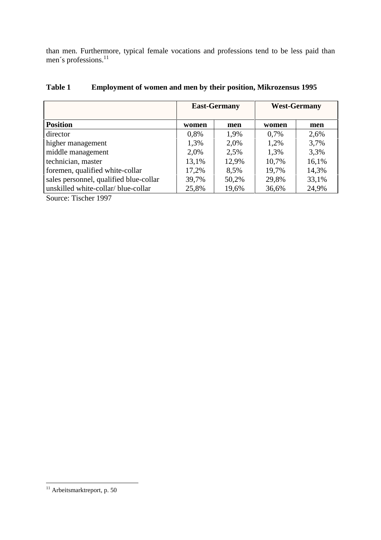than men. Furthermore, typical female vocations and professions tend to be less paid than men's professions.<sup>11</sup>

|                                        | <b>East-Germany</b> |       | <b>West-Germany</b> |       |
|----------------------------------------|---------------------|-------|---------------------|-------|
| <b>Position</b>                        | women               | men   | women               | men   |
| director                               | 0,8%                | 1.9%  | 0.7%                | 2,6%  |
| higher management                      | 1,3%                | 2,0%  | 1,2%                | 3,7%  |
| middle management                      | 2,0%                | 2,5%  | 1,3%                | 3,3%  |
| technician, master                     | 13,1%               | 12,9% | 10,7%               | 16,1% |
| foremen, qualified white-collar        | 17,2%               | 8,5%  | 19,7%               | 14,3% |
| sales personnel, qualified blue-collar | 39,7%               | 50,2% | 29,8%               | 33,1% |
| unskilled white-collar/blue-collar     | 25,8%               | 19,6% | 36,6%               | 24,9% |

### **Table 1 Employment of women and men by their position, Mikrozensus 1995**

Source: Tischer 1997

<sup>&</sup>lt;sup>11</sup> Arbeitsmarktreport, p. 50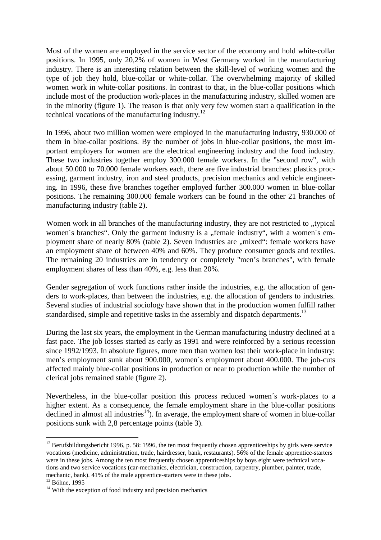Most of the women are employed in the service sector of the economy and hold white-collar positions. In 1995, only 20,2% of women in West Germany worked in the manufacturing industry. There is an interesting relation between the skill-level of working women and the type of job they hold, blue-collar or white-collar. The overwhelming majority of skilled women work in white-collar positions. In contrast to that, in the blue-collar positions which include most of the production work-places in the manufacturing industry, skilled women are in the minority (figure 1). The reason is that only very few women start a qualification in the technical vocations of the manufacturing industry. $^{12}$ 

In 1996, about two million women were employed in the manufacturing industry, 930.000 of them in blue-collar positions. By the number of jobs in blue-collar positions, the most important employers for women are the electrical engineering industry and the food industry. These two industries together employ 300.000 female workers. In the "second row", with about 50.000 to 70.000 female workers each, there are five industrial branches: plastics processing, garment industry, iron and steel products, precision mechanics and vehicle engineering. In 1996, these five branches together employed further 300.000 women in blue-collar positions. The remaining 300.000 female workers can be found in the other 21 branches of manufacturing industry (table 2).

Women work in all branches of the manufacturing industry, they are not restricted to "typical women's branches". Only the garment industry is a "female industry", with a women's employment share of nearly 80% (table 2). Seven industries are "mixed": female workers have an employment share of between 40% and 60%. They produce consumer goods and textiles. The remaining 20 industries are in tendency or completely "men's branches", with female employment shares of less than 40%, e.g. less than 20%.

Gender segregation of work functions rather inside the industries, e.g. the allocation of genders to work-places, than between the industries, e.g. the allocation of genders to industries. Several studies of industrial sociology have shown that in the production women fulfill rather standardised, simple and repetitive tasks in the assembly and dispatch departments.<sup>13</sup>

During the last six years, the employment in the German manufacturing industry declined at a fast pace. The job losses started as early as 1991 and were reinforced by a serious recession since 1992/1993. In absolute figures, more men than women lost their work-place in industry: men's employment sunk about 900.000, women´s employment about 400.000. The job-cuts affected mainly blue-collar positions in production or near to production while the number of clerical jobs remained stable (figure 2).

Nevertheless, in the blue-collar position this process reduced women´s work-places to a higher extent. As a consequence, the female employment share in the blue-collar positions declined in almost all industries<sup>14</sup>). In average, the employment share of women in blue-collar positions sunk with 2,8 percentage points (table 3).

 $12$  Berufsbildungsbericht 1996, p. 58: 1996, the ten most frequently chosen apprenticeships by girls were service vocations (medicine, administration, trade, hairdresser, bank, restaurants). 56% of the female apprentice-starters were in these jobs. Among the ten most frequently chosen apprenticeships by boys eight were technical vocations and two service vocations (car-mechanics, electrician, construction, carpentry, plumber, painter, trade, mechanic, bank). 41% of the male apprentice-starters were in these jobs.

<sup>&</sup>lt;sup>13</sup> Böhne, 1995

<sup>&</sup>lt;sup>14</sup> With the exception of food industry and precision mechanics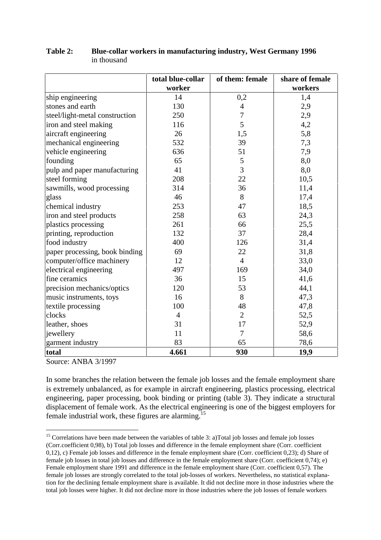|                                | of them: female<br>total blue-collar |                | share of female |  |
|--------------------------------|--------------------------------------|----------------|-----------------|--|
|                                | worker                               |                | workers         |  |
| ship engineering               | 14                                   | 0,2            | 1,4             |  |
| stones and earth               | 130                                  | $\overline{4}$ | 2,9             |  |
| steel/light-metal construction | 250                                  | $\overline{7}$ | 2,9             |  |
| iron and steel making          | 116                                  | 5              | 4,2             |  |
| aircraft engineering           | 26                                   | 1,5            | 5,8             |  |
| mechanical engineering         | 532                                  | 39             | 7,3             |  |
| vehicle engineering            | 636                                  | 51             | 7,9             |  |
| founding                       | 65                                   | $\mathfrak s$  | 8,0             |  |
| pulp and paper manufacturing   | 41                                   | $\overline{3}$ | 8,0             |  |
| steel forming                  | 208                                  | 22             | 10,5            |  |
| sawmills, wood processing      | 314                                  | 36             | 11,4            |  |
| glass                          | 46                                   | 8              | 17,4            |  |
| chemical industry              | 253                                  | 47             | 18,5            |  |
| iron and steel products        | 258                                  | 63             | 24,3            |  |
| plastics processing            | 261                                  | 66             | 25,5            |  |
| printing, reproduction         | 132                                  | 37             | 28,4            |  |
| food industry                  | 400                                  | 126            | 31,4            |  |
| paper processing, book binding | 69                                   | 22             | 31,8            |  |
| computer/office machinery      | 12                                   | $\overline{4}$ | 33,0            |  |
| electrical engineering         | 497                                  | 169            | 34,0            |  |
| fine ceramics                  | 36                                   | 15             | 41,6            |  |
| precision mechanics/optics     | 120                                  | 53             | 44,1            |  |
| music instruments, toys        | 16                                   | 8              | 47,3            |  |
| textile processing             | 100                                  | 48             | 47,8            |  |
| clocks                         | $\overline{4}$                       | $\overline{2}$ | 52,5            |  |
| leather, shoes                 | 31                                   | 17             | 52,9            |  |
| jewellery                      | 11                                   | 7              | 58,6            |  |
| garment industry               | 83                                   | 65             | 78,6            |  |
| total                          | 4.661                                | 930            | 19,9            |  |

#### **Table 2: Blue-collar workers in manufacturing industry, West Germany 1996** in thousand

Source: ANBA 3/1997

In some branches the relation between the female job losses and the female employment share is extremely unbalanced, as for example in aircraft engineering, plastics processing, electrical engineering, paper processing, book binding or printing (table 3). They indicate a structural displacement of female work. As the electrical engineering is one of the biggest employers for female industrial work, these figures are alarming.15

<sup>15</sup> Correlations have been made between the variables of table 3: a)Total job losses and female job losses (Corr.coefficient 0,98), b) Total job losses and difference in the female employment share (Corr. coefficient 0,12), c) Female job losses and difference in the female employment share (Corr. coefficient 0,23); d) Share of female job losses in total job losses and difference in the female employment share (Corr. coefficient 0,74); e) Female employment share 1991 and difference in the female employment share (Corr. coefficient 0,57). The female job losses are strongly correlated to the total job-losses of workers. Nevertheless, no statistical explanation for the declining female employment share is available. It did not decline more in those industries where the total job losses were higher. It did not decline more in those industries where the job losses of female workers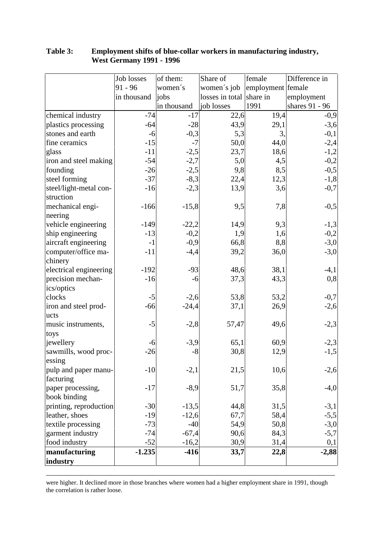| Job losses                       | of them:    | Share of                 | female            | Difference in  |
|----------------------------------|-------------|--------------------------|-------------------|----------------|
| $91 - 96$                        | women's     | women's job              | employment female |                |
| in thousand                      | jobs        | losses in total share in |                   | employment     |
|                                  | in thousand | job losses               | 1991              | shares 91 - 96 |
| $-74$<br>chemical industry       | $-17$       | 22,6                     | 19,4              | $-0,9$         |
| plastics processing<br>$-64$     | $-28$       | 43,9                     | 29,1              | $-3,6$         |
| stones and earth<br>$-6$         | $-0,3$      | 5,3                      | 3,                | $-0,1$         |
| fine ceramics<br>$-15$           | $-7$        | 50,0                     | 44,0              | $-2,4$         |
| glass<br>$-11$                   | $-2,5$      | 23,7                     | 18,6              | $-1,2$         |
| iron and steel making<br>$-54$   | $-2,7$      | 5,0                      | 4,5               | $-0,2$         |
| founding<br>$-26$                | $-2,5$      | 9,8                      | 8,5               | $-0,5$         |
| steel forming<br>$-37$           | $-8,3$      | 22,4                     | 12,3              | $-1,8$         |
| steel/light-metal con-<br>$-16$  | $-2,3$      | 13,9                     | 3,6               | $-0,7$         |
| struction                        |             |                          |                   |                |
| mechanical engi-<br>$-166$       | $-15,8$     | 9,5                      | 7,8               | $-0,5$         |
| neering                          |             |                          |                   |                |
| vehicle engineering<br>$-149$    | $-22,2$     | 14,9                     | 9,3               | $-1,3$         |
| ship engineering<br>$-13$        | $-0,2$      | 1,9                      | 1,6               | $-0,2$         |
| aircraft engineering<br>$-1$     | $-0,9$      | 66,8                     | 8,8               | $-3,0$         |
| computer/office ma-<br>$-11$     | $-4,4$      | 39,2                     | 36,0              | $-3,0$         |
| chinery                          |             |                          |                   |                |
| electrical engineering<br>$-192$ | $-93$       | 48,6                     | 38,1              | $-4,1$         |
| precision mechan-<br>$-16$       | $-6$        | 37,3                     | 43,3              | 0,8            |
| ics/optics                       |             |                          |                   |                |
| clocks<br>$-5$                   | $-2,6$      | 53,8                     | 53,2              | $-0,7$         |
| iron and steel prod-<br>$-66$    | $-24,4$     | 37,1                     | 26,9              | $-2,6$         |
| ucts                             |             |                          |                   |                |
| $-5$<br>music instruments,       | $-2,8$      | 57,47                    | 49,6              | $-2,3$         |
| toys                             |             |                          |                   |                |
| jewellery<br>-6                  | $-3,9$      | 65,1                     | 60,9              | $-2,3$         |
| sawmills, wood proc-<br>$-26$    | $-8$        | 30,8                     | 12,9              | $-1,5$         |
| essing                           |             |                          |                   |                |
| $-10$<br>pulp and paper manu-    | $-2,1$      | 21,5                     | 10,6              | $-2,6$         |
| facturing                        |             |                          |                   |                |
| paper processing,<br>$-17$       | $-8,9$      | 51,7                     | 35,8              | $-4,0$         |
| book binding                     |             |                          |                   |                |
| printing, reproduction<br>$-30$  | $-13,5$     | 44,8                     | 31,5              | $-3,1$         |
| leather, shoes<br>$-19$          | $-12,6$     | 67,7                     | 58,4              | $-5,5$         |
| textile processing<br>$-73$      | $-40$       | 54,9                     | 50,8              | $-3,0$         |
| garment industry<br>$-74$        | $-67,4$     | 90,6                     | 84,3              | $-5,7$         |
| food industry<br>$-52$           | $-16,2$     | 30,9                     | 31,4              | 0,1            |
| manufacturing<br>$-1.235$        | $-416$      | 33,7                     | 22,8              | $-2,88$        |
| industry                         |             |                          |                   |                |

### **Table 3: Employment shifts of blue-collar workers in manufacturing industry, West Germany 1991 - 1996**

<u> 1989 - Andrea Santa Andrea Andrea Andrea Andrea Andrea Andrea Andrea Andrea Andrea Andrea Andrea Andrea Andr</u> were higher. It declined more in those branches where women had a higher employment share in 1991, though the correlation is rather loose.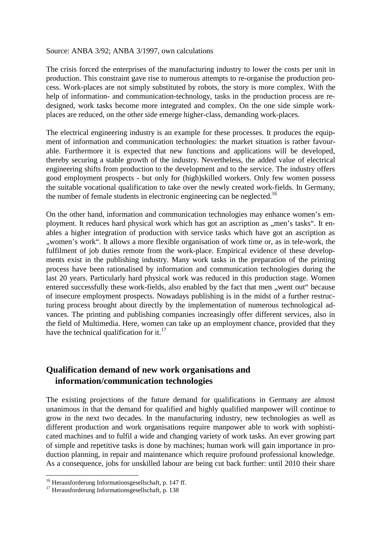#### Source: ANBA 3/92; ANBA 3/1997, own calculations

The crisis forced the enterprises of the manufacturing industry to lower the costs per unit in production. This constraint gave rise to numerous attempts to re-organise the production process. Work-places are not simply substituted by robots, the story is more complex. With the help of information- and communication-technology, tasks in the production process are redesigned, work tasks become more integrated and complex. On the one side simple workplaces are reduced, on the other side emerge higher-class, demanding work-places.

The electrical engineering industry is an example for these processes. It produces the equipment of information and communication technologies: the market situation is rather favourable. Furthermore it is expected that new functions and applications will be developed, thereby securing a stable growth of the industry. Nevertheless, the added value of electrical engineering shifts from production to the development and to the service. The industry offers good employment prospects - but only for (high)skilled workers. Only few women possess the suitable vocational qualification to take over the newly created work-fields. In Germany, the number of female students in electronic engineering can be neglected.<sup>16</sup>

On the other hand, information and communication technologies may enhance women's employment. It reduces hard physical work which has got an ascription as "men's tasks". It enables a higher integration of production with service tasks which have got an ascription as ", women's work". It allows a more flexible organisation of work time or, as in tele-work, the fulfilment of job duties remote from the work-place. Empirical evidence of these developments exist in the publishing industry. Many work tasks in the preparation of the printing process have been rationalised by information and communication technologies during the last 20 years. Particularly hard physical work was reduced in this production stage. Women entered successfully these work-fields, also enabled by the fact that men "went out" because of insecure employment prospects. Nowadays publishing is in the midst of a further restructuring process brought about directly by the implementation of numerous technological advances. The printing and publishing companies increasingly offer different services, also in the field of Multimedia. Here, women can take up an employment chance, provided that they have the technical qualification for it.<sup>17</sup>

## **Qualification demand of new work organisations and information/communication technologies**

The existing projections of the future demand for qualifications in Germany are almost unanimous in that the demand for qualified and highly qualified manpower will continue to grow in the next two decades. In the manufacturing industry, new technologies as well as different production and work organisations require manpower able to work with sophisticated machines and to fulfil a wide and changing variety of work tasks. An ever growing part of simple and repetitive tasks is done by machines; human work will gain importance in production planning, in repair and maintenance which require profound professional knowledge. As a consequence, jobs for unskilled labour are being cut back further: until 2010 their share

 $16$  Herausforderung Informationsgesellschaft, p. 147 ff.

 $17$  Herausforderung Informationsgesellschaft, p. 138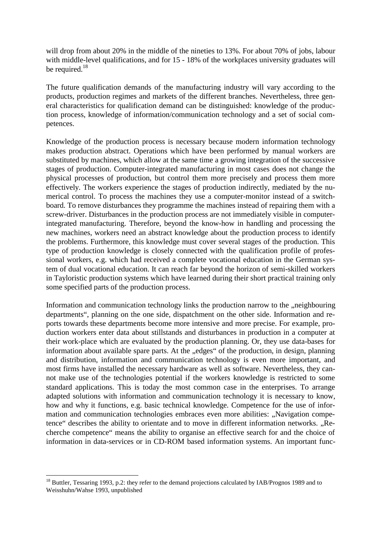will drop from about 20% in the middle of the nineties to 13%. For about 70% of jobs, labour with middle-level qualifications, and for 15 - 18% of the workplaces university graduates will be required.<sup>18</sup>

The future qualification demands of the manufacturing industry will vary according to the products, production regimes and markets of the different branches. Nevertheless, three general characteristics for qualification demand can be distinguished: knowledge of the production process, knowledge of information/communication technology and a set of social competences.

Knowledge of the production process is necessary because modern information technology makes production abstract. Operations which have been performed by manual workers are substituted by machines, which allow at the same time a growing integration of the successive stages of production. Computer-integrated manufacturing in most cases does not change the physical processes of production, but control them more precisely and process them more effectively. The workers experience the stages of production indirectly, mediated by the numerical control. To process the machines they use a computer-monitor instead of a switchboard. To remove disturbances they programme the machines instead of repairing them with a screw-driver. Disturbances in the production process are not immediately visible in computerintegrated manufacturing. Therefore, beyond the know-how in handling and processing the new machines, workers need an abstract knowledge about the production process to identify the problems. Furthermore, this knowledge must cover several stages of the production. This type of production knowledge is closely connected with the qualification profile of professional workers, e.g. which had received a complete vocational education in the German system of dual vocational education. It can reach far beyond the horizon of semi-skilled workers in Tayloristic production systems which have learned during their short practical training only some specified parts of the production process.

Information and communication technology links the production narrow to the "neighbouring departments", planning on the one side, dispatchment on the other side. Information and reports towards these departments become more intensive and more precise. For example, production workers enter data about stillstands and disturbances in production in a computer at their work-place which are evaluated by the production planning. Or, they use data-bases for information about available spare parts. At the "edges" of the production, in design, planning and distribution, information and communication technology is even more important, and most firms have installed the necessary hardware as well as software. Nevertheless, they cannot make use of the technologies potential if the workers knowledge is restricted to some standard applications. This is today the most common case in the enterprises. To arrange adapted solutions with information and communication technology it is necessary to know, how and why it functions, e.g. basic technical knowledge. Competence for the use of information and communication technologies embraces even more abilities: "Navigation competence" describes the ability to orientate and to move in different information networks. "Recherche competence" means the ability to organise an effective search for and the choice of information in data-services or in CD-ROM based information systems. An important func-

<sup>&</sup>lt;sup>18</sup> Buttler, Tessaring 1993, p.2: they refer to the demand projections calculated by IAB/Prognos 1989 and to Weisshuhn/Wahse 1993, unpublished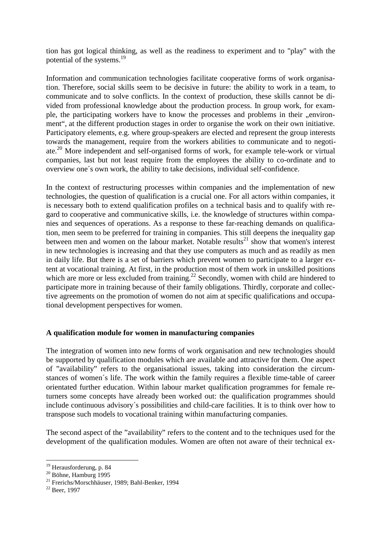tion has got logical thinking, as well as the readiness to experiment and to "play" with the potential of the systems.19

Information and communication technologies facilitate cooperative forms of work organisation. Therefore, social skills seem to be decisive in future: the ability to work in a team, to communicate and to solve conflicts. In the context of production, these skills cannot be divided from professional knowledge about the production process. In group work, for example, the participating workers have to know the processes and problems in their "environment", at the different production stages in order to organise the work on their own initiative. Participatory elements, e.g. where group-speakers are elected and represent the group interests towards the management, require from the workers abilities to communicate and to negotiate.20 More independent and self-organised forms of work, for example tele-work or virtual companies, last but not least require from the employees the ability to co-ordinate and to overview one´s own work, the ability to take decisions, individual self-confidence.

In the context of restructuring processes within companies and the implementation of new technologies, the question of qualification is a crucial one. For all actors within companies, it is necessary both to extend qualification profiles on a technical basis and to qualify with regard to cooperative and communicative skills, i.e. the knowledge of structures within companies and sequences of operations. As a response to these far-reaching demands on qualification, men seem to be preferred for training in companies. This still deepens the inequality gap between men and women on the labour market. Notable results<sup>21</sup> show that women's interest in new technologies is increasing and that they use computers as much and as readily as men in daily life. But there is a set of barriers which prevent women to participate to a larger extent at vocational training. At first, in the production most of them work in unskilled positions which are more or less excluded from training.<sup>22</sup> Secondly, women with child are hindered to participate more in training because of their family obligations. Thirdly, corporate and collective agreements on the promotion of women do not aim at specific qualifications and occupational development perspectives for women.

### **A qualification module for women in manufacturing companies**

The integration of women into new forms of work organisation and new technologies should be supported by qualification modules which are available and attractive for them. One aspect of "availability" refers to the organisational issues, taking into consideration the circumstances of women´s life. The work within the family requires a flexible time-table of career orientated further education. Within labour market qualification programmes for female returners some concepts have already been worked out: the qualification programmes should include continuous advisory´s possibilities and child-care facilities. It is to think over how to transpose such models to vocational training within manufacturing companies.

The second aspect of the "availability" refers to the content and to the techniques used for the development of the qualification modules. Women are often not aware of their technical ex-

<sup>&</sup>lt;sup>19</sup> Herausforderung, p. 84<br><sup>20</sup> Böhne, Hamburg 1995

<sup>20</sup> Böhne, Hamburg 1995 21 Frerichs/Morschhäuser, 1989; Bahl-Benker, 1994

 $22$  Beer, 1997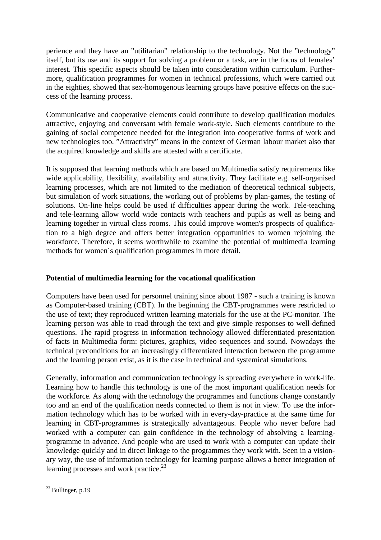perience and they have an "utilitarian" relationship to the technology. Not the "technology" itself, but its use and its support for solving a problem or a task, are in the focus of females' interest. This specific aspects should be taken into consideration within curriculum. Furthermore, qualification programmes for women in technical professions, which were carried out in the eighties, showed that sex-homogenous learning groups have positive effects on the success of the learning process.

Communicative and cooperative elements could contribute to develop qualification modules attractive, enjoying and conversant with female work-style. Such elements contribute to the gaining of social competence needed for the integration into cooperative forms of work and new technologies too. "Attractivity" means in the context of German labour market also that the acquired knowledge and skills are attested with a certificate.

It is supposed that learning methods which are based on Multimedia satisfy requirements like wide applicability, flexibility, availability and attractivity. They facilitate e.g. self-organised learning processes, which are not limited to the mediation of theoretical technical subjects, but simulation of work situations, the working out of problems by plan-games, the testing of solutions. On-line helps could be used if difficulties appear during the work. Tele-teaching and tele-learning allow world wide contacts with teachers and pupils as well as being and learning together in virtual class rooms. This could improve women's prospects of qualification to a high degree and offers better integration opportunities to women rejoining the workforce. Therefore, it seems worthwhile to examine the potential of multimedia learning methods for women´s qualification programmes in more detail.

### **Potential of multimedia learning for the vocational qualification**

Computers have been used for personnel training since about 1987 - such a training is known as Computer-based training (CBT). In the beginning the CBT-programmes were restricted to the use of text; they reproduced written learning materials for the use at the PC-monitor. The learning person was able to read through the text and give simple responses to well-defined questions. The rapid progress in information technology allowed differentiated presentation of facts in Multimedia form: pictures, graphics, video sequences and sound. Nowadays the technical preconditions for an increasingly differentiated interaction between the programme and the learning person exist, as it is the case in technical and systemical simulations.

Generally, information and communication technology is spreading everywhere in work-life. Learning how to handle this technology is one of the most important qualification needs for the workforce. As along with the technology the programmes and functions change constantly too and an end of the qualification needs connected to them is not in view. To use the information technology which has to be worked with in every-day-practice at the same time for learning in CBT-programmes is strategically advantageous. People who never before had worked with a computer can gain confidence in the technology of absolving a learningprogramme in advance. And people who are used to work with a computer can update their knowledge quickly and in direct linkage to the programmes they work with. Seen in a visionary way, the use of information technology for learning purpose allows a better integration of learning processes and work practice. $^{23}$ 

 $23$  Bullinger, p.19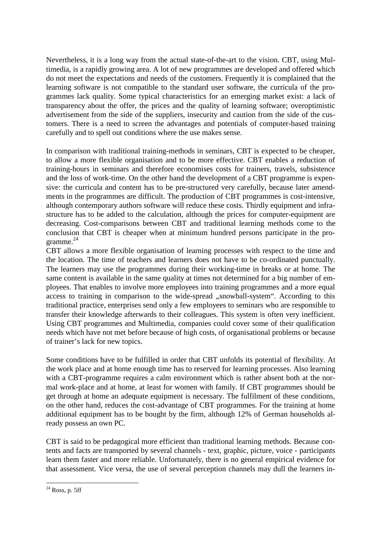Nevertheless, it is a long way from the actual state-of-the-art to the vision. CBT, using Multimedia, is a rapidly growing area. A lot of new programmes are developed and offered which do not meet the expectations and needs of the customers. Frequently it is complained that the learning software is not compatible to the standard user software, the curricula of the programmes lack quality. Some typical characteristics for an emerging market exist: a lack of transparency about the offer, the prices and the quality of learning software; overoptimistic advertisement from the side of the suppliers, insecurity and caution from the side of the customers. There is a need to screen the advantages and potentials of computer-based training carefully and to spell out conditions where the use makes sense.

In comparison with traditional training-methods in seminars, CBT is expected to be cheaper, to allow a more flexible organisation and to be more effective. CBT enables a reduction of training-hours in seminars and therefore economises costs for trainers, travels, subsistence and the loss of work-time. On the other hand the development of a CBT programme is expensive: the curricula and content has to be pre-structured very carefully, because later amendments in the programmes are difficult. The production of CBT programmes is cost-intensive, although contemporary authors software will reduce these costs. Thirdly equipment and infrastructure has to be added to the calculation, although the prices for computer-equipment are decreasing. Cost-comparisons between CBT and traditional learning methods come to the conclusion that CBT is cheaper when at minimum hundred persons participate in the programme. 24

CBT allows a more flexible organisation of learning processes with respect to the time and the location. The time of teachers and learners does not have to be co-ordinated punctually. The learners may use the programmes during their working-time in breaks or at home. The same content is available in the same quality at times not determined for a big number of employees. That enables to involve more employees into training programmes and a more equal access to training in comparison to the wide-spread "snowball-system". According to this traditional practice, enterprises send only a few employees to seminars who are responsible to transfer their knowledge afterwards to their colleagues. This system is often very inefficient. Using CBT programmes and Multimedia, companies could cover some of their qualification needs which have not met before because of high costs, of organisational problems or because of trainer's lack for new topics.

Some conditions have to be fulfilled in order that CBT unfolds its potential of flexibility. At the work place and at home enough time has to reserved for learning processes. Also learning with a CBT-programme requires a calm environment which is rather absent both at the normal work-place and at home, at least for women with family. If CBT programmes should be get through at home an adequate equipment is necessary. The fulfilment of these conditions, on the other hand, reduces the cost-advantage of CBT programmes. For the training at home additional equipment has to be bought by the firm, although 12% of German households already possess an own PC.

CBT is said to be pedagogical more efficient than traditional learning methods. Because contents and facts are transported by several channels - text, graphic, picture, voice - participants learn them faster and more reliable. Unfortunately, there is no general empirical evidence for that assessment. Vice versa, the use of several perception channels may dull the learners in-

 $^{24}$  Ross, p. 5ff